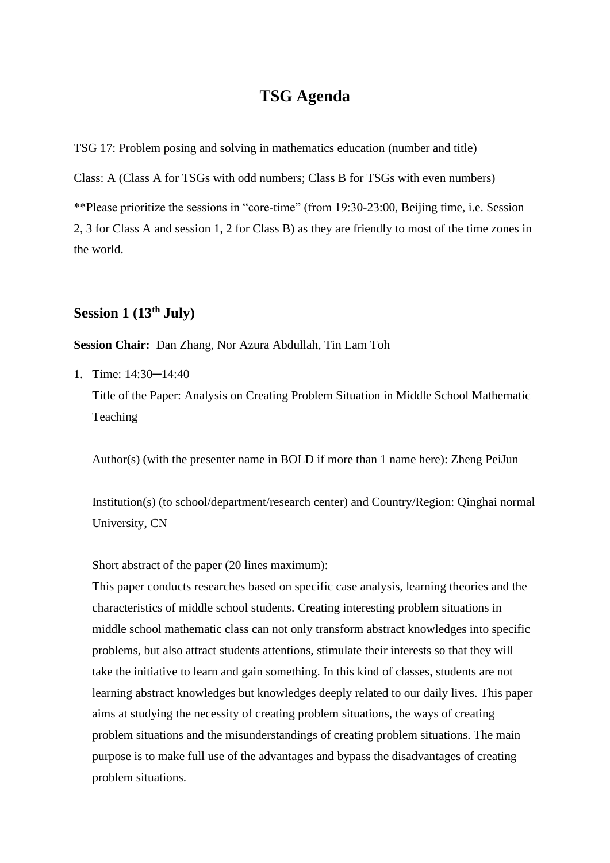# **TSG Agenda**

TSG 17: Problem posing and solving in mathematics education (number and title)

Class: A (Class A for TSGs with odd numbers; Class B for TSGs with even numbers)

\*\*Please prioritize the sessions in "core-time" (from 19:30-23:00, Beijing time, i.e. Session 2, 3 for Class A and session 1, 2 for Class B) as they are friendly to most of the time zones in the world.

# **Session 1 (13th July)**

**Session Chair:** Dan Zhang, Nor Azura Abdullah, Tin Lam Toh

1. Time: 14:30─14:40

Title of the Paper: Analysis on Creating Problem Situation in Middle School Mathematic Teaching

Author(s) (with the presenter name in BOLD if more than 1 name here): Zheng PeiJun

Institution(s) (to school/department/research center) and Country/Region: Qinghai normal University, CN

Short abstract of the paper (20 lines maximum):

This paper conducts researches based on specific case analysis, learning theories and the characteristics of middle school students. Creating interesting problem situations in middle school mathematic class can not only transform abstract knowledges into specific problems, but also attract students attentions, stimulate their interests so that they will take the initiative to learn and gain something. In this kind of classes, students are not learning abstract knowledges but knowledges deeply related to our daily lives. This paper aims at studying the necessity of creating problem situations, the ways of creating problem situations and the misunderstandings of creating problem situations. The main purpose is to make full use of the advantages and bypass the disadvantages of creating problem situations.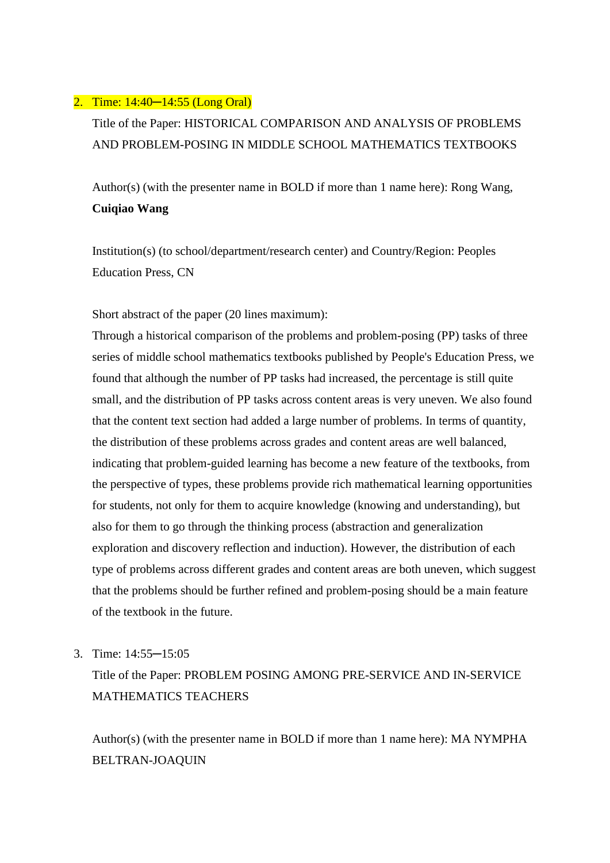### 2. Time: 14:40─14:55 (Long Oral)

Title of the Paper: HISTORICAL COMPARISON AND ANALYSIS OF PROBLEMS AND PROBLEM-POSING IN MIDDLE SCHOOL MATHEMATICS TEXTBOOKS

Author(s) (with the presenter name in BOLD if more than 1 name here): Rong Wang, **Cuiqiao Wang**

Institution(s) (to school/department/research center) and Country/Region: Peoples Education Press, CN

Short abstract of the paper (20 lines maximum):

Through a historical comparison of the problems and problem-posing (PP) tasks of three series of middle school mathematics textbooks published by People's Education Press, we found that although the number of PP tasks had increased, the percentage is still quite small, and the distribution of PP tasks across content areas is very uneven. We also found that the content text section had added a large number of problems. In terms of quantity, the distribution of these problems across grades and content areas are well balanced, indicating that problem-guided learning has become a new feature of the textbooks, from the perspective of types, these problems provide rich mathematical learning opportunities for students, not only for them to acquire knowledge (knowing and understanding), but also for them to go through the thinking process (abstraction and generalization exploration and discovery reflection and induction). However, the distribution of each type of problems across different grades and content areas are both uneven, which suggest that the problems should be further refined and problem-posing should be a main feature of the textbook in the future.

3. Time: 14:55─15:05

Title of the Paper: PROBLEM POSING AMONG PRE-SERVICE AND IN-SERVICE MATHEMATICS TEACHERS

Author(s) (with the presenter name in BOLD if more than 1 name here): MA NYMPHA BELTRAN-JOAQUIN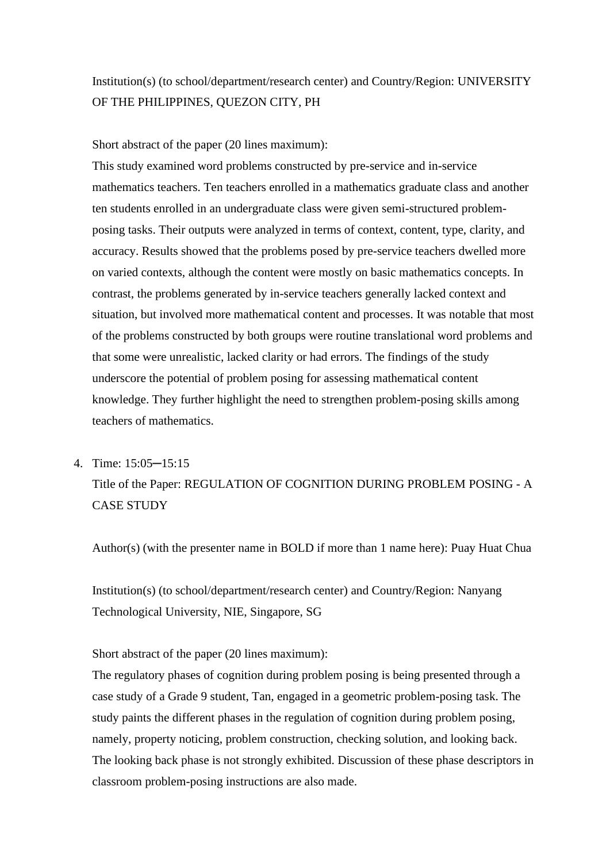# Institution(s) (to school/department/research center) and Country/Region: UNIVERSITY OF THE PHILIPPINES, QUEZON CITY, PH

Short abstract of the paper (20 lines maximum):

This study examined word problems constructed by pre-service and in-service mathematics teachers. Ten teachers enrolled in a mathematics graduate class and another ten students enrolled in an undergraduate class were given semi-structured problemposing tasks. Their outputs were analyzed in terms of context, content, type, clarity, and accuracy. Results showed that the problems posed by pre-service teachers dwelled more on varied contexts, although the content were mostly on basic mathematics concepts. In contrast, the problems generated by in-service teachers generally lacked context and situation, but involved more mathematical content and processes. It was notable that most of the problems constructed by both groups were routine translational word problems and that some were unrealistic, lacked clarity or had errors. The findings of the study underscore the potential of problem posing for assessing mathematical content knowledge. They further highlight the need to strengthen problem-posing skills among teachers of mathematics.

#### 4. Time: 15:05─15:15

Title of the Paper: REGULATION OF COGNITION DURING PROBLEM POSING - A CASE STUDY

Author(s) (with the presenter name in BOLD if more than 1 name here): Puay Huat Chua

Institution(s) (to school/department/research center) and Country/Region: Nanyang Technological University, NIE, Singapore, SG

Short abstract of the paper (20 lines maximum):

The regulatory phases of cognition during problem posing is being presented through a case study of a Grade 9 student, Tan, engaged in a geometric problem-posing task. The study paints the different phases in the regulation of cognition during problem posing, namely, property noticing, problem construction, checking solution, and looking back. The looking back phase is not strongly exhibited. Discussion of these phase descriptors in classroom problem-posing instructions are also made.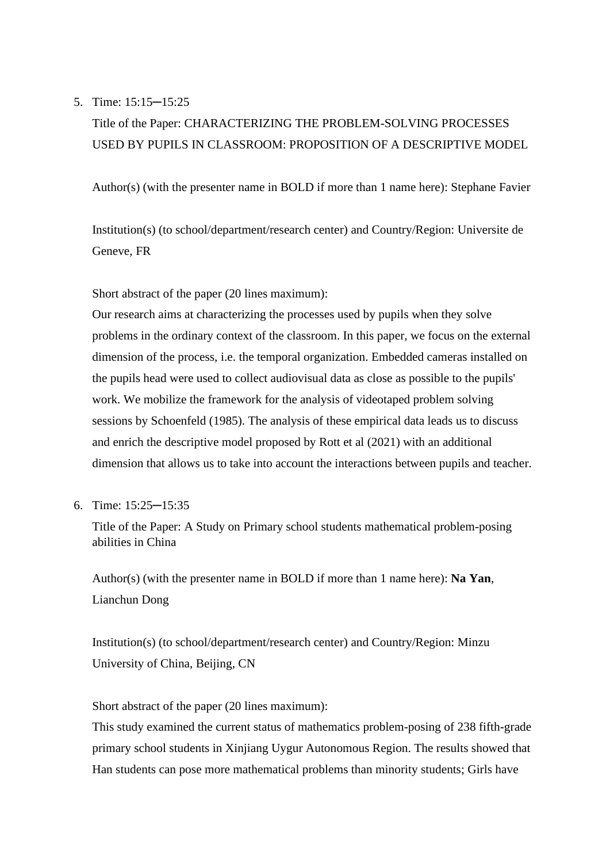### 5. Time: 15:15─15:25

# Title of the Paper: CHARACTERIZING THE PROBLEM-SOLVING PROCESSES USED BY PUPILS IN CLASSROOM: PROPOSITION OF A DESCRIPTIVE MODEL

Author(s) (with the presenter name in BOLD if more than 1 name here): Stephane Favier

Institution(s) (to school/department/research center) and Country/Region: Universite de Geneve, FR

Short abstract of the paper (20 lines maximum):

Our research aims at characterizing the processes used by pupils when they solve problems in the ordinary context of the classroom. In this paper, we focus on the external dimension of the process, i.e. the temporal organization. Embedded cameras installed on the pupils head were used to collect audiovisual data as close as possible to the pupils' work. We mobilize the framework for the analysis of videotaped problem solving sessions by Schoenfeld (1985). The analysis of these empirical data leads us to discuss and enrich the descriptive model proposed by Rott et al (2021) with an additional dimension that allows us to take into account the interactions between pupils and teacher.

6. Time: 15:25─15:35

Title of the Paper: A Study on Primary school students mathematical problem-posing abilities in China

Author(s) (with the presenter name in BOLD if more than 1 name here): **Na Yan**, Lianchun Dong

Institution(s) (to school/department/research center) and Country/Region: Minzu University of China, Beijing, CN

Short abstract of the paper (20 lines maximum):

This study examined the current status of mathematics problem-posing of 238 fifth-grade primary school students in Xinjiang Uygur Autonomous Region. The results showed that Han students can pose more mathematical problems than minority students; Girls have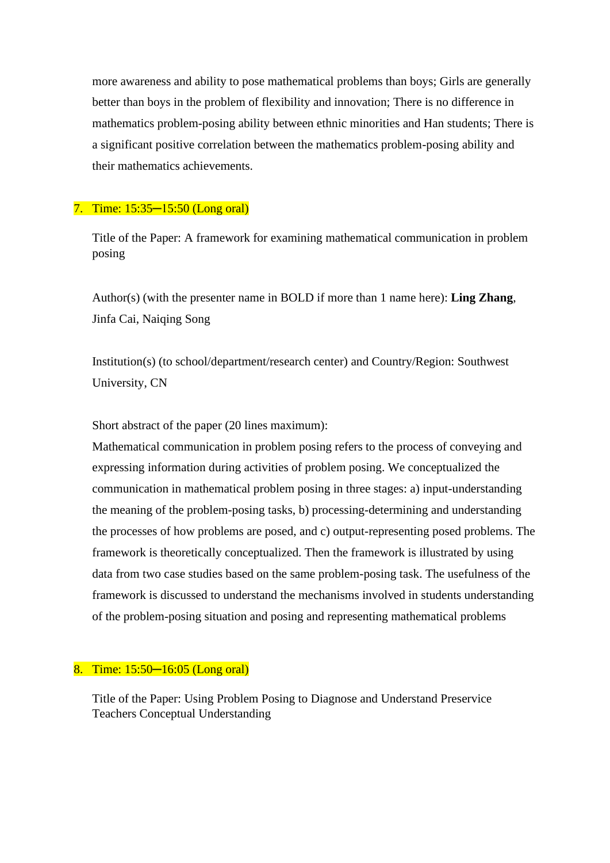more awareness and ability to pose mathematical problems than boys; Girls are generally better than boys in the problem of flexibility and innovation; There is no difference in mathematics problem-posing ability between ethnic minorities and Han students; There is a significant positive correlation between the mathematics problem-posing ability and their mathematics achievements.

### 7. Time: 15:35─15:50 (Long oral)

Title of the Paper: A framework for examining mathematical communication in problem posing

Author(s) (with the presenter name in BOLD if more than 1 name here): **Ling Zhang**, Jinfa Cai, Naiqing Song

Institution(s) (to school/department/research center) and Country/Region: Southwest University, CN

Short abstract of the paper (20 lines maximum):

Mathematical communication in problem posing refers to the process of conveying and expressing information during activities of problem posing. We conceptualized the communication in mathematical problem posing in three stages: a) input-understanding the meaning of the problem-posing tasks, b) processing-determining and understanding the processes of how problems are posed, and c) output-representing posed problems. The framework is theoretically conceptualized. Then the framework is illustrated by using data from two case studies based on the same problem-posing task. The usefulness of the framework is discussed to understand the mechanisms involved in students understanding of the problem-posing situation and posing and representing mathematical problems

### 8. Time: 15:50─16:05 (Long oral)

Title of the Paper: Using Problem Posing to Diagnose and Understand Preservice Teachers Conceptual Understanding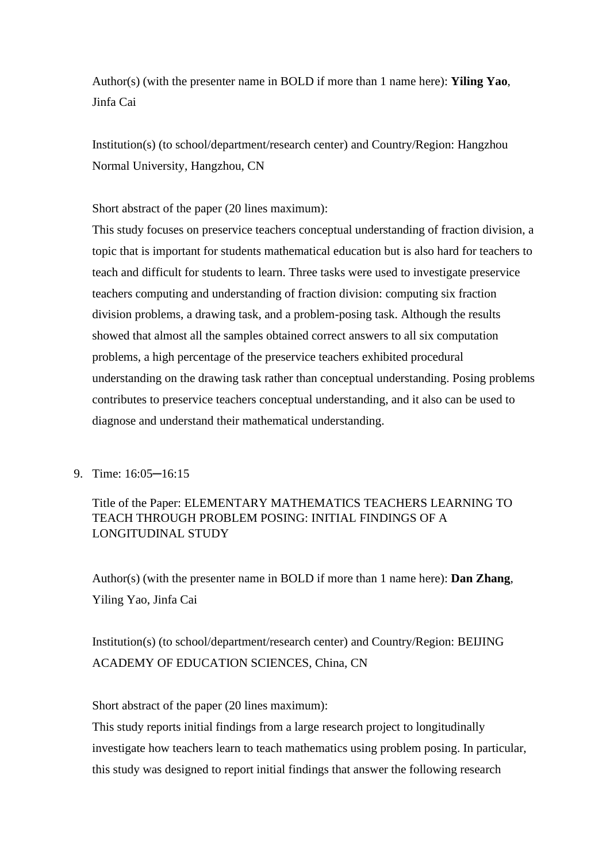Author(s) (with the presenter name in BOLD if more than 1 name here): **Yiling Yao**, Jinfa Cai

Institution(s) (to school/department/research center) and Country/Region: Hangzhou Normal University, Hangzhou, CN

Short abstract of the paper (20 lines maximum):

This study focuses on preservice teachers conceptual understanding of fraction division, a topic that is important for students mathematical education but is also hard for teachers to teach and difficult for students to learn. Three tasks were used to investigate preservice teachers computing and understanding of fraction division: computing six fraction division problems, a drawing task, and a problem-posing task. Although the results showed that almost all the samples obtained correct answers to all six computation problems, a high percentage of the preservice teachers exhibited procedural understanding on the drawing task rather than conceptual understanding. Posing problems contributes to preservice teachers conceptual understanding, and it also can be used to diagnose and understand their mathematical understanding.

### 9. Time: 16:05─16:15

## Title of the Paper: ELEMENTARY MATHEMATICS TEACHERS LEARNING TO TEACH THROUGH PROBLEM POSING: INITIAL FINDINGS OF A LONGITUDINAL STUDY

Author(s) (with the presenter name in BOLD if more than 1 name here): **Dan Zhang**, Yiling Yao, Jinfa Cai

Institution(s) (to school/department/research center) and Country/Region: BEIJING ACADEMY OF EDUCATION SCIENCES, China, CN

Short abstract of the paper (20 lines maximum):

This study reports initial findings from a large research project to longitudinally investigate how teachers learn to teach mathematics using problem posing. In particular, this study was designed to report initial findings that answer the following research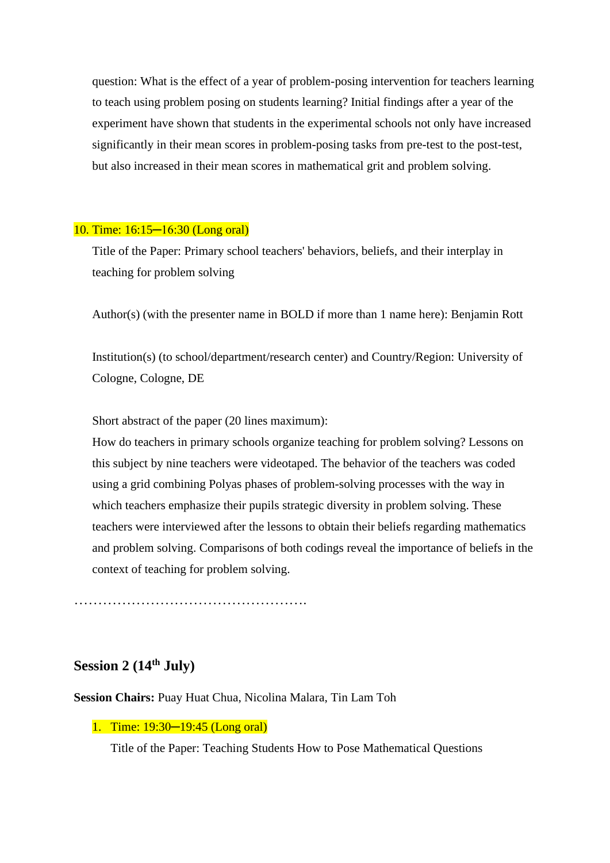question: What is the effect of a year of problem-posing intervention for teachers learning to teach using problem posing on students learning? Initial findings after a year of the experiment have shown that students in the experimental schools not only have increased significantly in their mean scores in problem-posing tasks from pre-test to the post-test, but also increased in their mean scores in mathematical grit and problem solving.

### 10. Time: 16:15─16:30 (Long oral)

Title of the Paper: Primary school teachers' behaviors, beliefs, and their interplay in teaching for problem solving

Author(s) (with the presenter name in BOLD if more than 1 name here): Benjamin Rott

Institution(s) (to school/department/research center) and Country/Region: University of Cologne, Cologne, DE

Short abstract of the paper (20 lines maximum):

How do teachers in primary schools organize teaching for problem solving? Lessons on this subject by nine teachers were videotaped. The behavior of the teachers was coded using a grid combining Polyas phases of problem-solving processes with the way in which teachers emphasize their pupils strategic diversity in problem solving. These teachers were interviewed after the lessons to obtain their beliefs regarding mathematics and problem solving. Comparisons of both codings reveal the importance of beliefs in the context of teaching for problem solving.

………………………………………….

## **Session 2 (14th July)**

**Session Chairs:** Puay Huat Chua, Nicolina Malara, Tin Lam Toh

#### 1. Time: 19:30─19:45 (Long oral)

Title of the Paper: Teaching Students How to Pose Mathematical Questions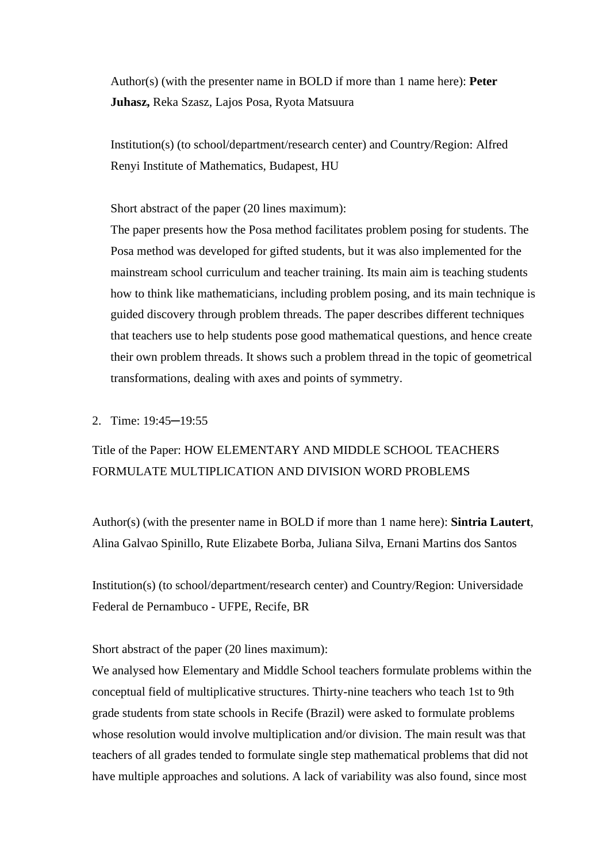Author(s) (with the presenter name in BOLD if more than 1 name here): **Peter Juhasz,** Reka Szasz, Lajos Posa, Ryota Matsuura

Institution(s) (to school/department/research center) and Country/Region: Alfred Renyi Institute of Mathematics, Budapest, HU

Short abstract of the paper (20 lines maximum):

The paper presents how the Posa method facilitates problem posing for students. The Posa method was developed for gifted students, but it was also implemented for the mainstream school curriculum and teacher training. Its main aim is teaching students how to think like mathematicians, including problem posing, and its main technique is guided discovery through problem threads. The paper describes different techniques that teachers use to help students pose good mathematical questions, and hence create their own problem threads. It shows such a problem thread in the topic of geometrical transformations, dealing with axes and points of symmetry.

2. Time: 19:45─19:55

# Title of the Paper: HOW ELEMENTARY AND MIDDLE SCHOOL TEACHERS FORMULATE MULTIPLICATION AND DIVISION WORD PROBLEMS

Author(s) (with the presenter name in BOLD if more than 1 name here): **Sintria Lautert**, Alina Galvao Spinillo, Rute Elizabete Borba, Juliana Silva, Ernani Martins dos Santos

Institution(s) (to school/department/research center) and Country/Region: Universidade Federal de Pernambuco - UFPE, Recife, BR

Short abstract of the paper (20 lines maximum):

We analysed how Elementary and Middle School teachers formulate problems within the conceptual field of multiplicative structures. Thirty-nine teachers who teach 1st to 9th grade students from state schools in Recife (Brazil) were asked to formulate problems whose resolution would involve multiplication and/or division. The main result was that teachers of all grades tended to formulate single step mathematical problems that did not have multiple approaches and solutions. A lack of variability was also found, since most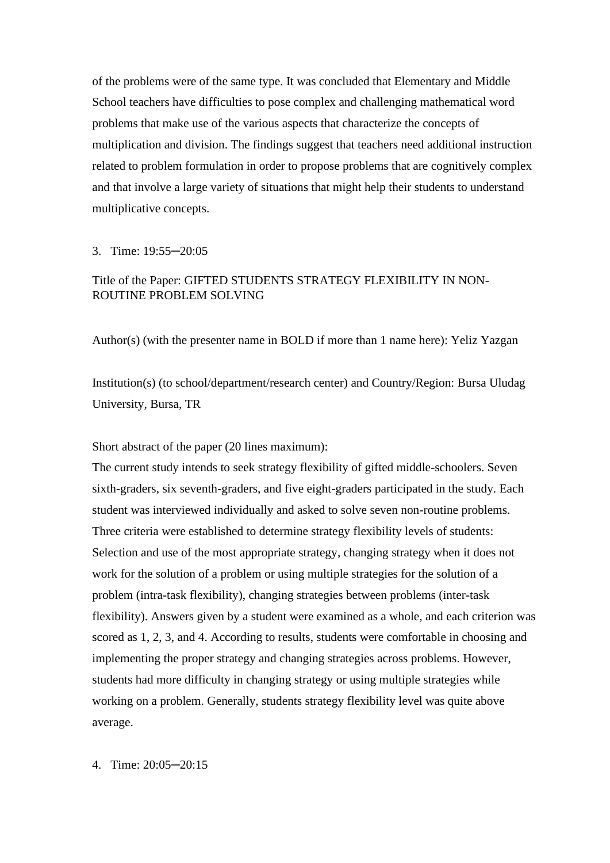of the problems were of the same type. It was concluded that Elementary and Middle School teachers have difficulties to pose complex and challenging mathematical word problems that make use of the various aspects that characterize the concepts of multiplication and division. The findings suggest that teachers need additional instruction related to problem formulation in order to propose problems that are cognitively complex and that involve a large variety of situations that might help their students to understand multiplicative concepts.

#### 3. Time: 19:55─20:05

### Title of the Paper: GIFTED STUDENTS STRATEGY FLEXIBILITY IN NON-ROUTINE PROBLEM SOLVING

Author(s) (with the presenter name in BOLD if more than 1 name here): Yeliz Yazgan

Institution(s) (to school/department/research center) and Country/Region: Bursa Uludag University, Bursa, TR

Short abstract of the paper (20 lines maximum):

The current study intends to seek strategy flexibility of gifted middle-schoolers. Seven sixth-graders, six seventh-graders, and five eight-graders participated in the study. Each student was interviewed individually and asked to solve seven non-routine problems. Three criteria were established to determine strategy flexibility levels of students: Selection and use of the most appropriate strategy, changing strategy when it does not work for the solution of a problem or using multiple strategies for the solution of a problem (intra-task flexibility), changing strategies between problems (inter-task flexibility). Answers given by a student were examined as a whole, and each criterion was scored as 1, 2, 3, and 4. According to results, students were comfortable in choosing and implementing the proper strategy and changing strategies across problems. However, students had more difficulty in changing strategy or using multiple strategies while working on a problem. Generally, students strategy flexibility level was quite above average.

4. Time: 20:05─20:15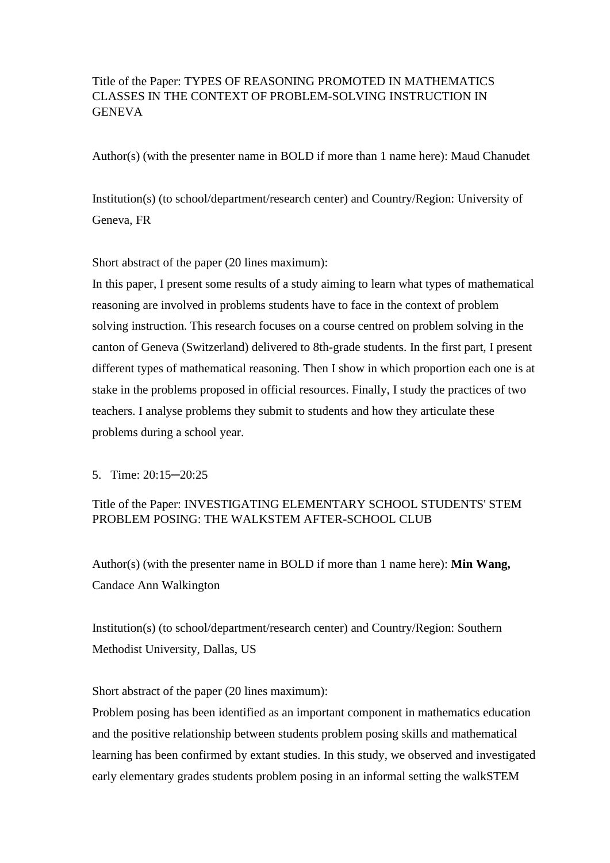## Title of the Paper: TYPES OF REASONING PROMOTED IN MATHEMATICS CLASSES IN THE CONTEXT OF PROBLEM-SOLVING INSTRUCTION IN **GENEVA**

Author(s) (with the presenter name in BOLD if more than 1 name here): Maud Chanudet

Institution(s) (to school/department/research center) and Country/Region: University of Geneva, FR

Short abstract of the paper (20 lines maximum):

In this paper, I present some results of a study aiming to learn what types of mathematical reasoning are involved in problems students have to face in the context of problem solving instruction. This research focuses on a course centred on problem solving in the canton of Geneva (Switzerland) delivered to 8th-grade students. In the first part, I present different types of mathematical reasoning. Then I show in which proportion each one is at stake in the problems proposed in official resources. Finally, I study the practices of two teachers. I analyse problems they submit to students and how they articulate these problems during a school year.

5. Time: 20:15─20:25

### Title of the Paper: INVESTIGATING ELEMENTARY SCHOOL STUDENTS' STEM PROBLEM POSING: THE WALKSTEM AFTER-SCHOOL CLUB

Author(s) (with the presenter name in BOLD if more than 1 name here): **Min Wang,** Candace Ann Walkington

Institution(s) (to school/department/research center) and Country/Region: Southern Methodist University, Dallas, US

Short abstract of the paper (20 lines maximum):

Problem posing has been identified as an important component in mathematics education and the positive relationship between students problem posing skills and mathematical learning has been confirmed by extant studies. In this study, we observed and investigated early elementary grades students problem posing in an informal setting the walkSTEM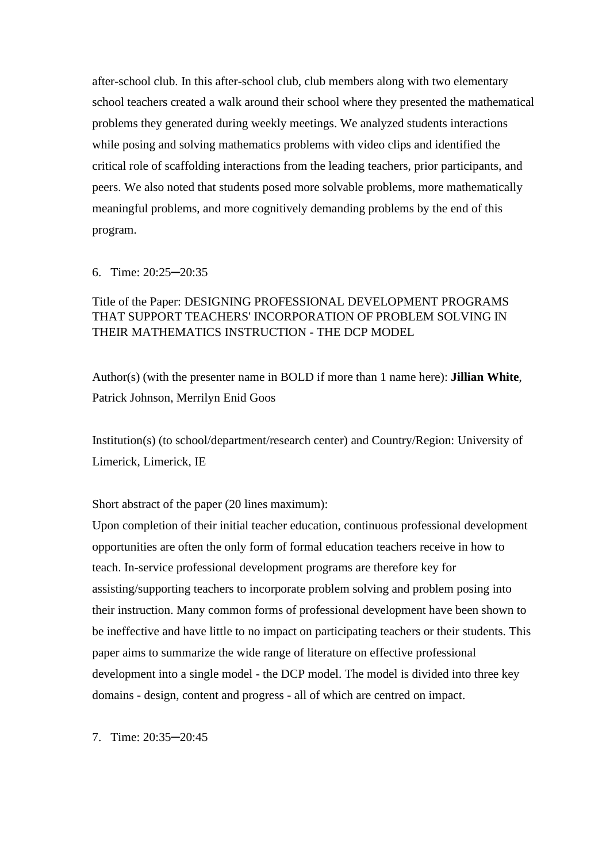after-school club. In this after-school club, club members along with two elementary school teachers created a walk around their school where they presented the mathematical problems they generated during weekly meetings. We analyzed students interactions while posing and solving mathematics problems with video clips and identified the critical role of scaffolding interactions from the leading teachers, prior participants, and peers. We also noted that students posed more solvable problems, more mathematically meaningful problems, and more cognitively demanding problems by the end of this program.

### 6. Time: 20:25─20:35

## Title of the Paper: DESIGNING PROFESSIONAL DEVELOPMENT PROGRAMS THAT SUPPORT TEACHERS' INCORPORATION OF PROBLEM SOLVING IN THEIR MATHEMATICS INSTRUCTION - THE DCP MODEL

Author(s) (with the presenter name in BOLD if more than 1 name here): **Jillian White**, Patrick Johnson, Merrilyn Enid Goos

Institution(s) (to school/department/research center) and Country/Region: University of Limerick, Limerick, IE

Short abstract of the paper (20 lines maximum):

Upon completion of their initial teacher education, continuous professional development opportunities are often the only form of formal education teachers receive in how to teach. In-service professional development programs are therefore key for assisting/supporting teachers to incorporate problem solving and problem posing into their instruction. Many common forms of professional development have been shown to be ineffective and have little to no impact on participating teachers or their students. This paper aims to summarize the wide range of literature on effective professional development into a single model - the DCP model. The model is divided into three key domains - design, content and progress - all of which are centred on impact.

7. Time: 20:35─20:45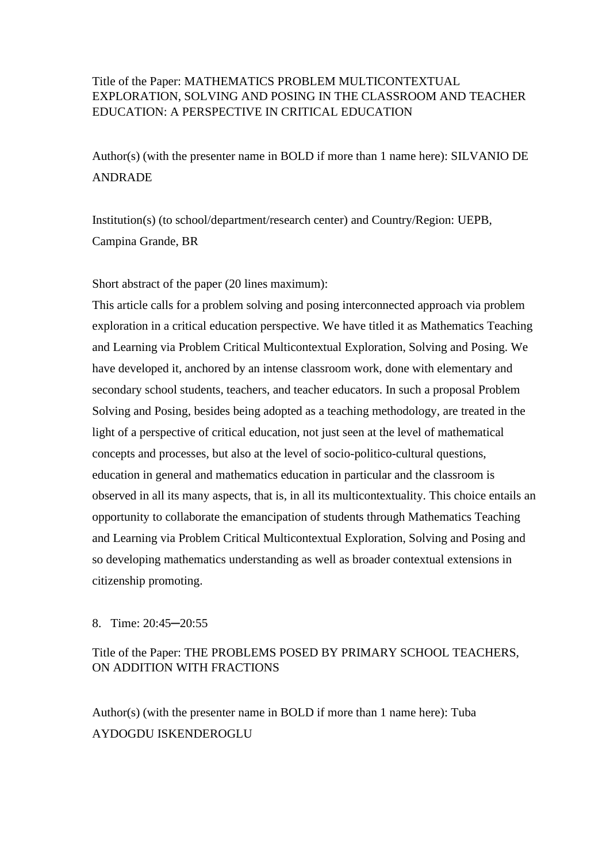### Title of the Paper: MATHEMATICS PROBLEM MULTICONTEXTUAL EXPLORATION, SOLVING AND POSING IN THE CLASSROOM AND TEACHER EDUCATION: A PERSPECTIVE IN CRITICAL EDUCATION

Author(s) (with the presenter name in BOLD if more than 1 name here): SILVANIO DE ANDRADE

Institution(s) (to school/department/research center) and Country/Region: UEPB, Campina Grande, BR

Short abstract of the paper (20 lines maximum):

This article calls for a problem solving and posing interconnected approach via problem exploration in a critical education perspective. We have titled it as Mathematics Teaching and Learning via Problem Critical Multicontextual Exploration, Solving and Posing. We have developed it, anchored by an intense classroom work, done with elementary and secondary school students, teachers, and teacher educators. In such a proposal Problem Solving and Posing, besides being adopted as a teaching methodology, are treated in the light of a perspective of critical education, not just seen at the level of mathematical concepts and processes, but also at the level of socio-politico-cultural questions, education in general and mathematics education in particular and the classroom is observed in all its many aspects, that is, in all its multicontextuality. This choice entails an opportunity to collaborate the emancipation of students through Mathematics Teaching and Learning via Problem Critical Multicontextual Exploration, Solving and Posing and so developing mathematics understanding as well as broader contextual extensions in citizenship promoting.

### 8. Time: 20:45─20:55

## Title of the Paper: THE PROBLEMS POSED BY PRIMARY SCHOOL TEACHERS, ON ADDITION WITH FRACTIONS

Author(s) (with the presenter name in BOLD if more than 1 name here): Tuba AYDOGDU ISKENDEROGLU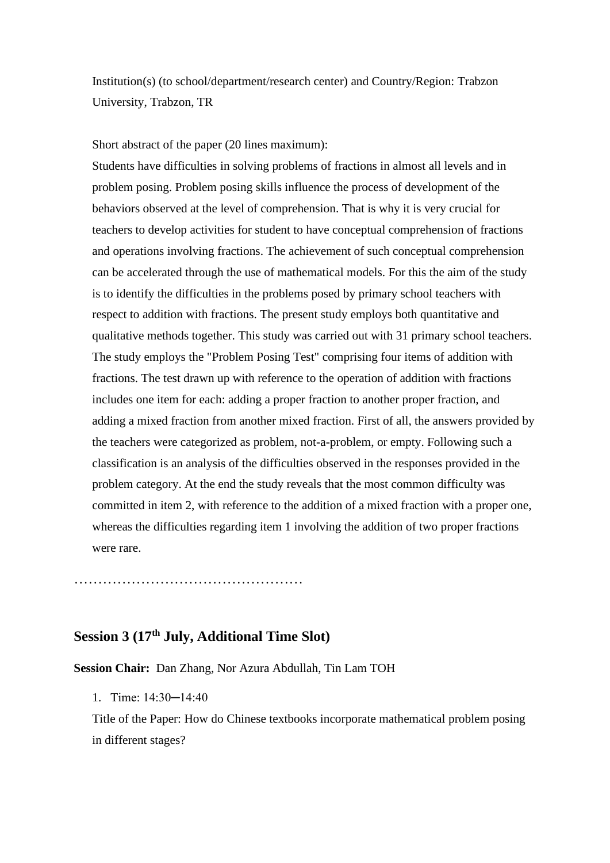Institution(s) (to school/department/research center) and Country/Region: Trabzon University, Trabzon, TR

Short abstract of the paper (20 lines maximum):

Students have difficulties in solving problems of fractions in almost all levels and in problem posing. Problem posing skills influence the process of development of the behaviors observed at the level of comprehension. That is why it is very crucial for teachers to develop activities for student to have conceptual comprehension of fractions and operations involving fractions. The achievement of such conceptual comprehension can be accelerated through the use of mathematical models. For this the aim of the study is to identify the difficulties in the problems posed by primary school teachers with respect to addition with fractions. The present study employs both quantitative and qualitative methods together. This study was carried out with 31 primary school teachers. The study employs the "Problem Posing Test" comprising four items of addition with fractions. The test drawn up with reference to the operation of addition with fractions includes one item for each: adding a proper fraction to another proper fraction, and adding a mixed fraction from another mixed fraction. First of all, the answers provided by the teachers were categorized as problem, not-a-problem, or empty. Following such a classification is an analysis of the difficulties observed in the responses provided in the problem category. At the end the study reveals that the most common difficulty was committed in item 2, with reference to the addition of a mixed fraction with a proper one, whereas the difficulties regarding item 1 involving the addition of two proper fractions were rare.

………………………………………………

# **Session 3 (17th July, Additional Time Slot)**

**Session Chair:** Dan Zhang, Nor Azura Abdullah, Tin Lam TOH

1. Time: 14:30─14:40

Title of the Paper: How do Chinese textbooks incorporate mathematical problem posing in different stages?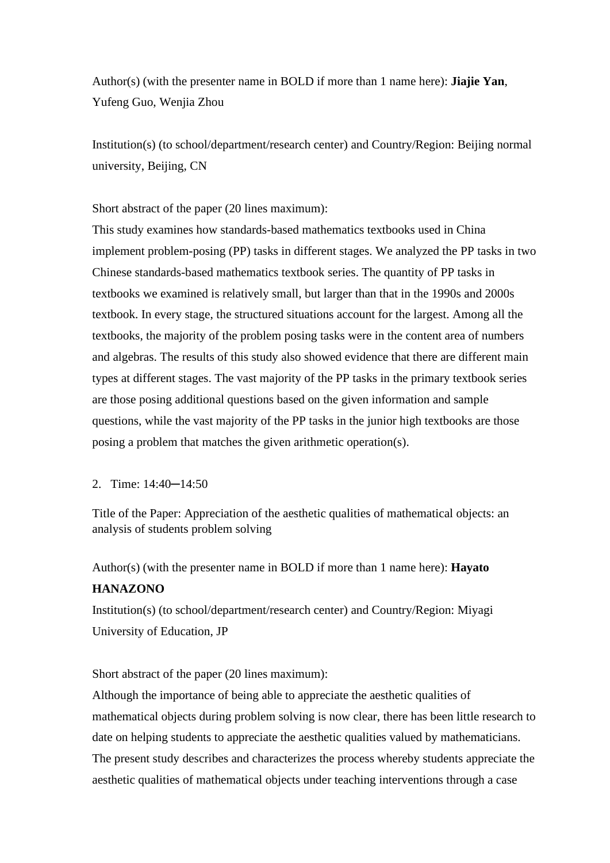Author(s) (with the presenter name in BOLD if more than 1 name here): **Jiajie Yan**, Yufeng Guo, Wenjia Zhou

Institution(s) (to school/department/research center) and Country/Region: Beijing normal university, Beijing, CN

Short abstract of the paper (20 lines maximum):

This study examines how standards-based mathematics textbooks used in China implement problem-posing (PP) tasks in different stages. We analyzed the PP tasks in two Chinese standards-based mathematics textbook series. The quantity of PP tasks in textbooks we examined is relatively small, but larger than that in the 1990s and 2000s textbook. In every stage, the structured situations account for the largest. Among all the textbooks, the majority of the problem posing tasks were in the content area of numbers and algebras. The results of this study also showed evidence that there are different main types at different stages. The vast majority of the PP tasks in the primary textbook series are those posing additional questions based on the given information and sample questions, while the vast majority of the PP tasks in the junior high textbooks are those posing a problem that matches the given arithmetic operation(s).

### 2. Time: 14:40─14:50

Title of the Paper: Appreciation of the aesthetic qualities of mathematical objects: an analysis of students problem solving

Author(s) (with the presenter name in BOLD if more than 1 name here): **Hayato HANAZONO**

Institution(s) (to school/department/research center) and Country/Region: Miyagi University of Education, JP

Short abstract of the paper (20 lines maximum):

Although the importance of being able to appreciate the aesthetic qualities of mathematical objects during problem solving is now clear, there has been little research to date on helping students to appreciate the aesthetic qualities valued by mathematicians. The present study describes and characterizes the process whereby students appreciate the aesthetic qualities of mathematical objects under teaching interventions through a case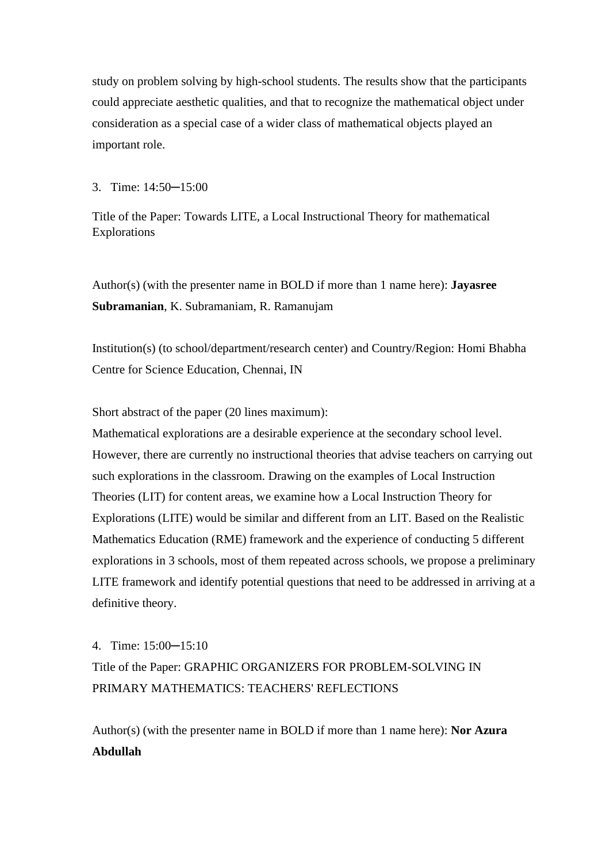study on problem solving by high-school students. The results show that the participants could appreciate aesthetic qualities, and that to recognize the mathematical object under consideration as a special case of a wider class of mathematical objects played an important role.

#### 3. Time: 14:50─15:00

Title of the Paper: Towards LITE, a Local Instructional Theory for mathematical Explorations

Author(s) (with the presenter name in BOLD if more than 1 name here): **Jayasree Subramanian**, K. Subramaniam, R. Ramanujam

Institution(s) (to school/department/research center) and Country/Region: Homi Bhabha Centre for Science Education, Chennai, IN

Short abstract of the paper (20 lines maximum):

Mathematical explorations are a desirable experience at the secondary school level. However, there are currently no instructional theories that advise teachers on carrying out such explorations in the classroom. Drawing on the examples of Local Instruction Theories (LIT) for content areas, we examine how a Local Instruction Theory for Explorations (LITE) would be similar and different from an LIT. Based on the Realistic Mathematics Education (RME) framework and the experience of conducting 5 different explorations in 3 schools, most of them repeated across schools, we propose a preliminary LITE framework and identify potential questions that need to be addressed in arriving at a definitive theory.

4. Time: 15:00─15:10 Title of the Paper: GRAPHIC ORGANIZERS FOR PROBLEM-SOLVING IN PRIMARY MATHEMATICS: TEACHERS' REFLECTIONS

Author(s) (with the presenter name in BOLD if more than 1 name here): **Nor Azura Abdullah**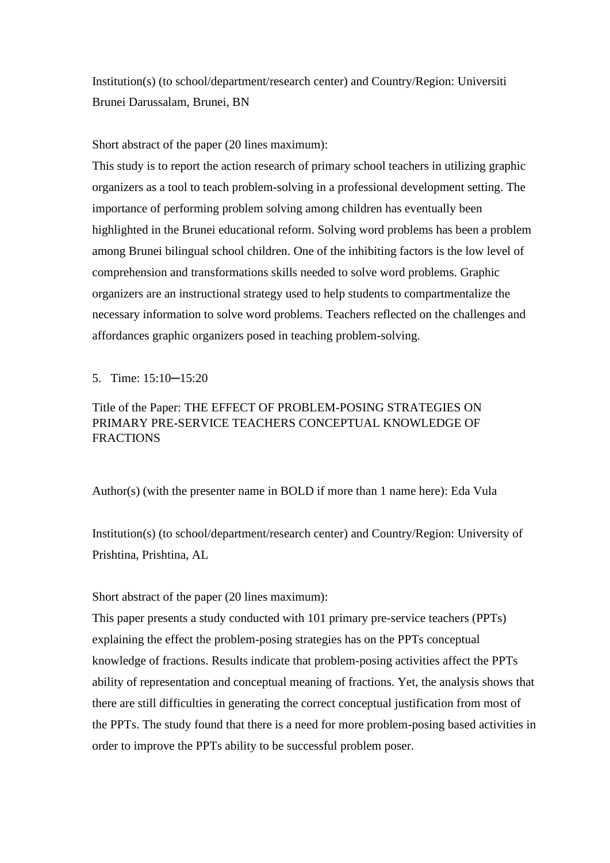Institution(s) (to school/department/research center) and Country/Region: Universiti Brunei Darussalam, Brunei, BN

Short abstract of the paper (20 lines maximum):

This study is to report the action research of primary school teachers in utilizing graphic organizers as a tool to teach problem-solving in a professional development setting. The importance of performing problem solving among children has eventually been highlighted in the Brunei educational reform. Solving word problems has been a problem among Brunei bilingual school children. One of the inhibiting factors is the low level of comprehension and transformations skills needed to solve word problems. Graphic organizers are an instructional strategy used to help students to compartmentalize the necessary information to solve word problems. Teachers reflected on the challenges and affordances graphic organizers posed in teaching problem-solving.

5. Time: 15:10─15:20

## Title of the Paper: THE EFFECT OF PROBLEM-POSING STRATEGIES ON PRIMARY PRE-SERVICE TEACHERS CONCEPTUAL KNOWLEDGE OF **FRACTIONS**

Author(s) (with the presenter name in BOLD if more than 1 name here): Eda Vula

Institution(s) (to school/department/research center) and Country/Region: University of Prishtina, Prishtina, AL

Short abstract of the paper (20 lines maximum):

This paper presents a study conducted with 101 primary pre-service teachers (PPTs) explaining the effect the problem-posing strategies has on the PPTs conceptual knowledge of fractions. Results indicate that problem-posing activities affect the PPTs ability of representation and conceptual meaning of fractions. Yet, the analysis shows that there are still difficulties in generating the correct conceptual justification from most of the PPTs. The study found that there is a need for more problem-posing based activities in order to improve the PPTs ability to be successful problem poser.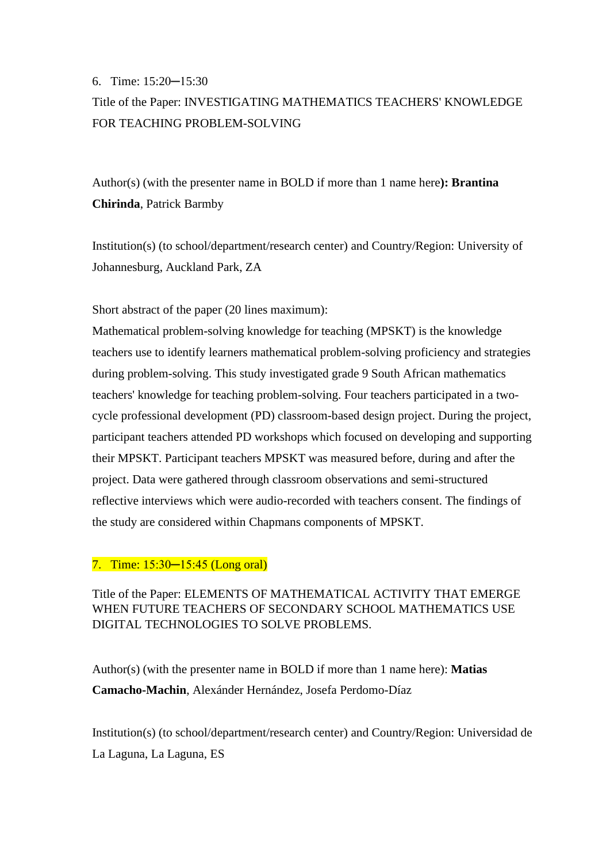#### 6. Time: 15:20─15:30

# Title of the Paper: INVESTIGATING MATHEMATICS TEACHERS' KNOWLEDGE FOR TEACHING PROBLEM-SOLVING

Author(s) (with the presenter name in BOLD if more than 1 name here**): Brantina Chirinda**, Patrick Barmby

Institution(s) (to school/department/research center) and Country/Region: University of Johannesburg, Auckland Park, ZA

Short abstract of the paper (20 lines maximum):

Mathematical problem-solving knowledge for teaching (MPSKT) is the knowledge teachers use to identify learners mathematical problem-solving proficiency and strategies during problem-solving. This study investigated grade 9 South African mathematics teachers' knowledge for teaching problem-solving. Four teachers participated in a twocycle professional development (PD) classroom-based design project. During the project, participant teachers attended PD workshops which focused on developing and supporting their MPSKT. Participant teachers MPSKT was measured before, during and after the project. Data were gathered through classroom observations and semi-structured reflective interviews which were audio-recorded with teachers consent. The findings of the study are considered within Chapmans components of MPSKT.

### 7. Time: 15:30–15:45 (Long oral)

Title of the Paper: ELEMENTS OF MATHEMATICAL ACTIVITY THAT EMERGE WHEN FUTURE TEACHERS OF SECONDARY SCHOOL MATHEMATICS USE DIGITAL TECHNOLOGIES TO SOLVE PROBLEMS.

Author(s) (with the presenter name in BOLD if more than 1 name here): **Matias Camacho-Machin**, Alexánder Hernández, Josefa Perdomo-Díaz

Institution(s) (to school/department/research center) and Country/Region: Universidad de La Laguna, La Laguna, ES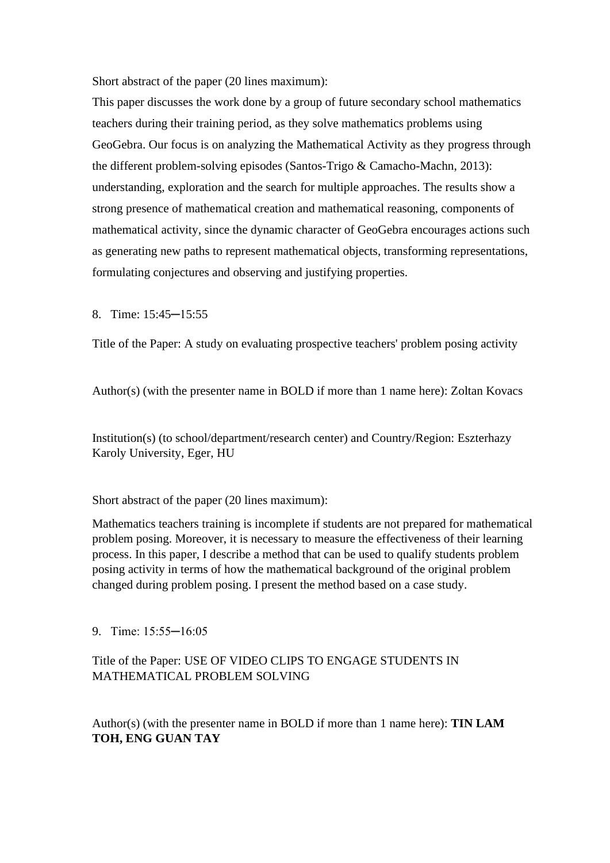Short abstract of the paper (20 lines maximum):

This paper discusses the work done by a group of future secondary school mathematics teachers during their training period, as they solve mathematics problems using GeoGebra. Our focus is on analyzing the Mathematical Activity as they progress through the different problem-solving episodes (Santos-Trigo & Camacho-Machn, 2013): understanding, exploration and the search for multiple approaches. The results show a strong presence of mathematical creation and mathematical reasoning, components of mathematical activity, since the dynamic character of GeoGebra encourages actions such as generating new paths to represent mathematical objects, transforming representations, formulating conjectures and observing and justifying properties.

8. Time: 15:45─15:55

Title of the Paper: A study on evaluating prospective teachers' problem posing activity

Author(s) (with the presenter name in BOLD if more than 1 name here): Zoltan Kovacs

Institution(s) (to school/department/research center) and Country/Region: Eszterhazy Karoly University, Eger, HU

Short abstract of the paper (20 lines maximum):

Mathematics teachers training is incomplete if students are not prepared for mathematical problem posing. Moreover, it is necessary to measure the effectiveness of their learning process. In this paper, I describe a method that can be used to qualify students problem posing activity in terms of how the mathematical background of the original problem changed during problem posing. I present the method based on a case study.

9. Time: 15:55─16:05

Title of the Paper: USE OF VIDEO CLIPS TO ENGAGE STUDENTS IN MATHEMATICAL PROBLEM SOLVING

Author(s) (with the presenter name in BOLD if more than 1 name here): **TIN LAM TOH, ENG GUAN TAY**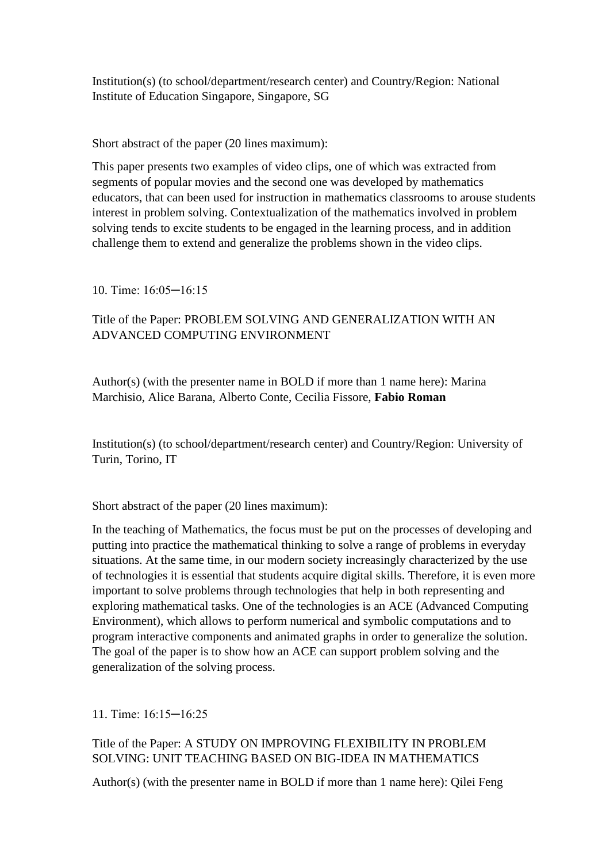Institution(s) (to school/department/research center) and Country/Region: National Institute of Education Singapore, Singapore, SG

Short abstract of the paper (20 lines maximum):

This paper presents two examples of video clips, one of which was extracted from segments of popular movies and the second one was developed by mathematics educators, that can been used for instruction in mathematics classrooms to arouse students interest in problem solving. Contextualization of the mathematics involved in problem solving tends to excite students to be engaged in the learning process, and in addition challenge them to extend and generalize the problems shown in the video clips.

10. Time: 16:05─16:15

## Title of the Paper: PROBLEM SOLVING AND GENERALIZATION WITH AN ADVANCED COMPUTING ENVIRONMENT

Author(s) (with the presenter name in BOLD if more than 1 name here): Marina Marchisio, Alice Barana, Alberto Conte, Cecilia Fissore, **Fabio Roman**

Institution(s) (to school/department/research center) and Country/Region: University of Turin, Torino, IT

Short abstract of the paper (20 lines maximum):

In the teaching of Mathematics, the focus must be put on the processes of developing and putting into practice the mathematical thinking to solve a range of problems in everyday situations. At the same time, in our modern society increasingly characterized by the use of technologies it is essential that students acquire digital skills. Therefore, it is even more important to solve problems through technologies that help in both representing and exploring mathematical tasks. One of the technologies is an ACE (Advanced Computing Environment), which allows to perform numerical and symbolic computations and to program interactive components and animated graphs in order to generalize the solution. The goal of the paper is to show how an ACE can support problem solving and the generalization of the solving process.

11. Time: 16:15─16:25

### Title of the Paper: A STUDY ON IMPROVING FLEXIBILITY IN PROBLEM SOLVING: UNIT TEACHING BASED ON BIG-IDEA IN MATHEMATICS

Author(s) (with the presenter name in BOLD if more than 1 name here): Qilei Feng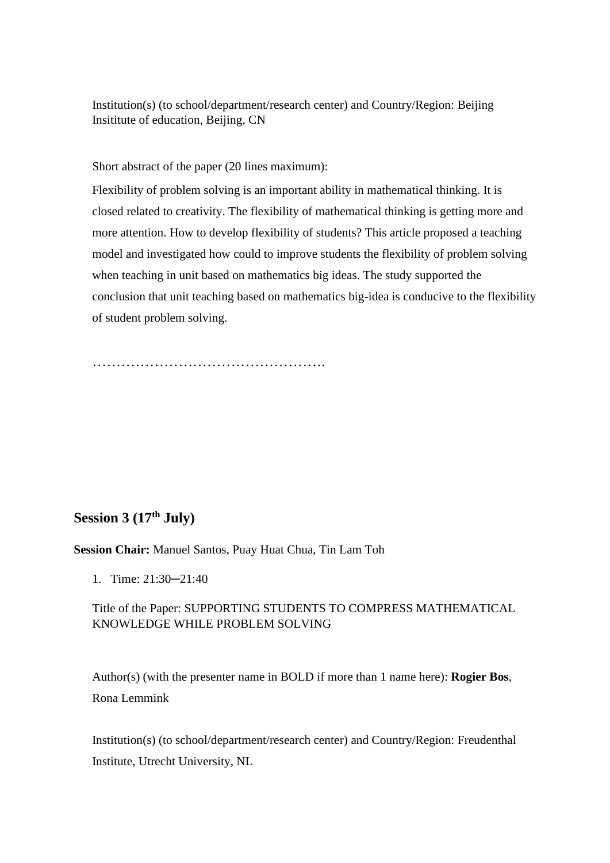Institution(s) (to school/department/research center) and Country/Region: Beijing Insititute of education, Beijing, CN

Short abstract of the paper (20 lines maximum):

Flexibility of problem solving is an important ability in mathematical thinking. It is closed related to creativity. The flexibility of mathematical thinking is getting more and more attention. How to develop flexibility of students? This article proposed a teaching model and investigated how could to improve students the flexibility of problem solving when teaching in unit based on mathematics big ideas. The study supported the conclusion that unit teaching based on mathematics big-idea is conducive to the flexibility of student problem solving.

………………………………………….

## **Session 3 (17th July)**

**Session Chair:** Manuel Santos, Puay Huat Chua, Tin Lam Toh

1. Time: 21:30─21:40

### Title of the Paper: SUPPORTING STUDENTS TO COMPRESS MATHEMATICAL KNOWLEDGE WHILE PROBLEM SOLVING

Author(s) (with the presenter name in BOLD if more than 1 name here): **Rogier Bos**, Rona Lemmink

Institution(s) (to school/department/research center) and Country/Region: Freudenthal Institute, Utrecht University, NL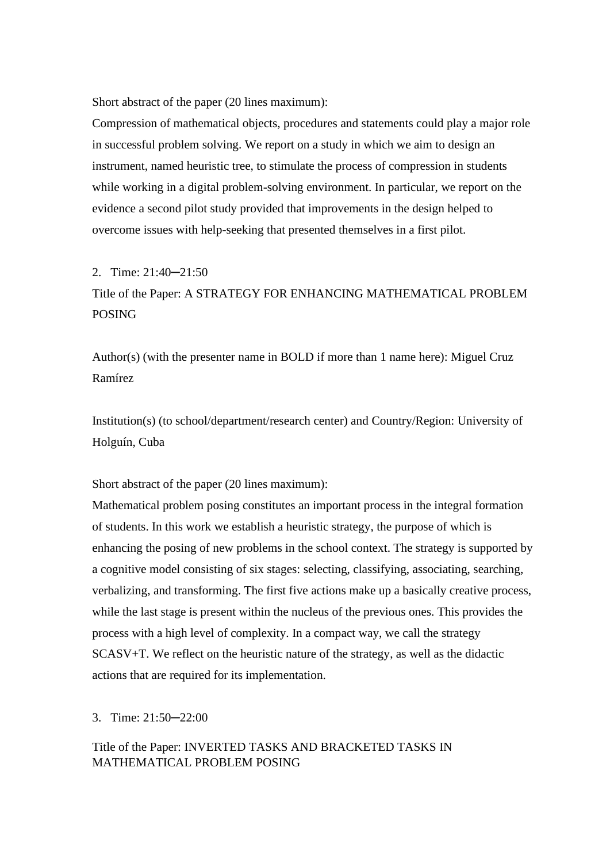Short abstract of the paper (20 lines maximum):

Compression of mathematical objects, procedures and statements could play a major role in successful problem solving. We report on a study in which we aim to design an instrument, named heuristic tree, to stimulate the process of compression in students while working in a digital problem-solving environment. In particular, we report on the evidence a second pilot study provided that improvements in the design helped to overcome issues with help-seeking that presented themselves in a first pilot.

2. Time: 21:40─21:50

Title of the Paper: A STRATEGY FOR ENHANCING MATHEMATICAL PROBLEM POSING

Author(s) (with the presenter name in BOLD if more than 1 name here): Miguel Cruz Ramírez

Institution(s) (to school/department/research center) and Country/Region: University of Holguín, Cuba

Short abstract of the paper (20 lines maximum):

Mathematical problem posing constitutes an important process in the integral formation of students. In this work we establish a heuristic strategy, the purpose of which is enhancing the posing of new problems in the school context. The strategy is supported by a cognitive model consisting of six stages: selecting, classifying, associating, searching, verbalizing, and transforming. The first five actions make up a basically creative process, while the last stage is present within the nucleus of the previous ones. This provides the process with a high level of complexity. In a compact way, we call the strategy SCASV+T. We reflect on the heuristic nature of the strategy, as well as the didactic actions that are required for its implementation.

#### 3. Time: 21:50─22:00

Title of the Paper: INVERTED TASKS AND BRACKETED TASKS IN MATHEMATICAL PROBLEM POSING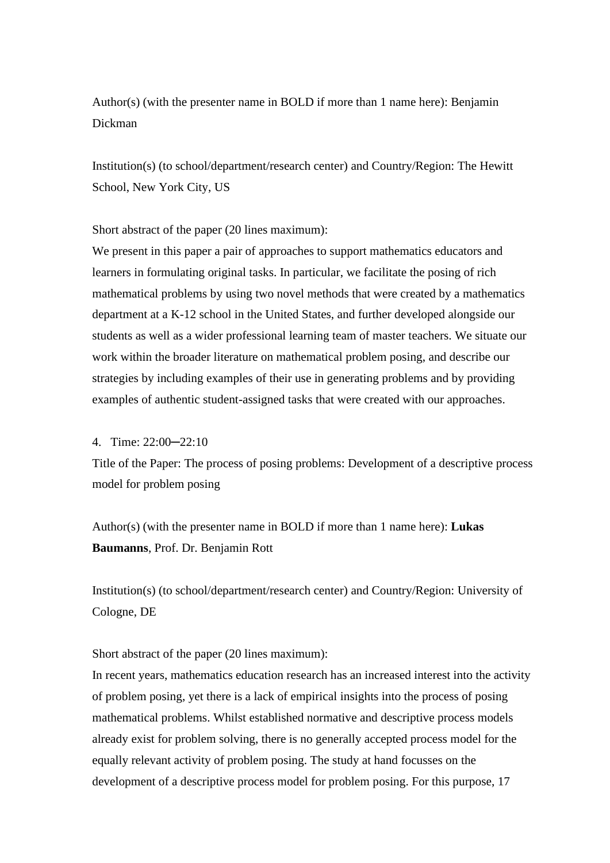# Author(s) (with the presenter name in BOLD if more than 1 name here): Benjamin Dickman

Institution(s) (to school/department/research center) and Country/Region: The Hewitt School, New York City, US

Short abstract of the paper (20 lines maximum):

We present in this paper a pair of approaches to support mathematics educators and learners in formulating original tasks. In particular, we facilitate the posing of rich mathematical problems by using two novel methods that were created by a mathematics department at a K-12 school in the United States, and further developed alongside our students as well as a wider professional learning team of master teachers. We situate our work within the broader literature on mathematical problem posing, and describe our strategies by including examples of their use in generating problems and by providing examples of authentic student-assigned tasks that were created with our approaches.

### 4. Time: 22:00─22:10

Title of the Paper: The process of posing problems: Development of a descriptive process model for problem posing

Author(s) (with the presenter name in BOLD if more than 1 name here): **Lukas Baumanns**, Prof. Dr. Benjamin Rott

Institution(s) (to school/department/research center) and Country/Region: University of Cologne, DE

Short abstract of the paper (20 lines maximum):

In recent years, mathematics education research has an increased interest into the activity of problem posing, yet there is a lack of empirical insights into the process of posing mathematical problems. Whilst established normative and descriptive process models already exist for problem solving, there is no generally accepted process model for the equally relevant activity of problem posing. The study at hand focusses on the development of a descriptive process model for problem posing. For this purpose, 17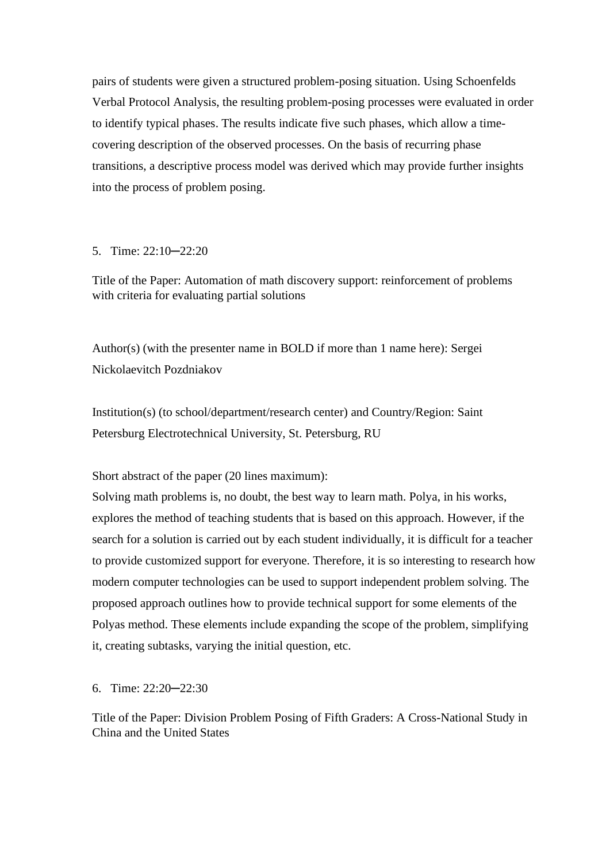pairs of students were given a structured problem-posing situation. Using Schoenfelds Verbal Protocol Analysis, the resulting problem-posing processes were evaluated in order to identify typical phases. The results indicate five such phases, which allow a timecovering description of the observed processes. On the basis of recurring phase transitions, a descriptive process model was derived which may provide further insights into the process of problem posing.

### 5. Time: 22:10─22:20

Title of the Paper: Automation of math discovery support: reinforcement of problems with criteria for evaluating partial solutions

Author(s) (with the presenter name in BOLD if more than 1 name here): Sergei Nickolaevitch Pozdniakov

Institution(s) (to school/department/research center) and Country/Region: Saint Petersburg Electrotechnical University, St. Petersburg, RU

Short abstract of the paper (20 lines maximum):

Solving math problems is, no doubt, the best way to learn math. Polya, in his works, explores the method of teaching students that is based on this approach. However, if the search for a solution is carried out by each student individually, it is difficult for a teacher to provide customized support for everyone. Therefore, it is so interesting to research how modern computer technologies can be used to support independent problem solving. The proposed approach outlines how to provide technical support for some elements of the Polyas method. These elements include expanding the scope of the problem, simplifying it, creating subtasks, varying the initial question, etc.

6. Time: 22:20─22:30

Title of the Paper: Division Problem Posing of Fifth Graders: A Cross-National Study in China and the United States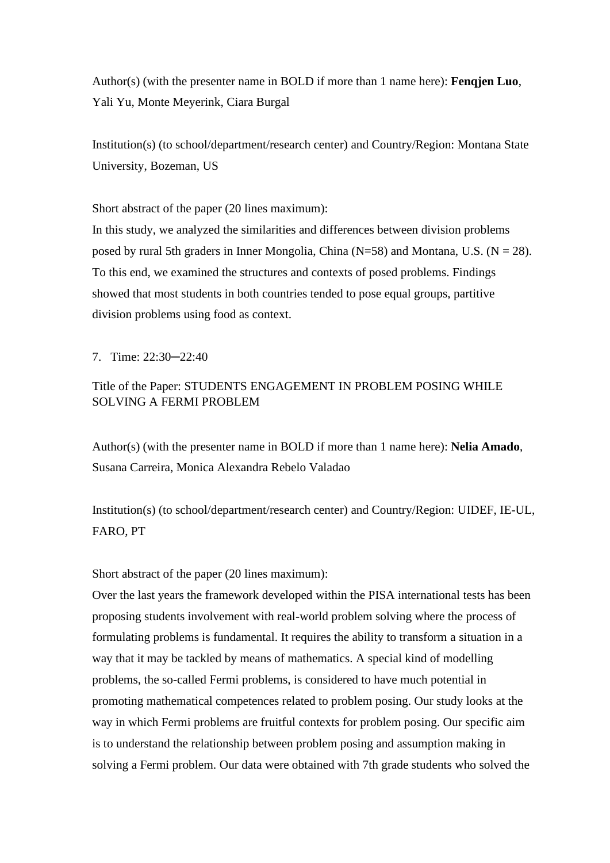Author(s) (with the presenter name in BOLD if more than 1 name here): **Fenqjen Luo**, Yali Yu, Monte Meyerink, Ciara Burgal

Institution(s) (to school/department/research center) and Country/Region: Montana State University, Bozeman, US

Short abstract of the paper (20 lines maximum):

In this study, we analyzed the similarities and differences between division problems posed by rural 5th graders in Inner Mongolia, China ( $N=58$ ) and Montana, U.S. ( $N = 28$ ). To this end, we examined the structures and contexts of posed problems. Findings showed that most students in both countries tended to pose equal groups, partitive division problems using food as context.

7. Time: 22:30─22:40

## Title of the Paper: STUDENTS ENGAGEMENT IN PROBLEM POSING WHILE SOLVING A FERMI PROBLEM

Author(s) (with the presenter name in BOLD if more than 1 name here): **Nelia Amado**, Susana Carreira, Monica Alexandra Rebelo Valadao

Institution(s) (to school/department/research center) and Country/Region: UIDEF, IE-UL, FARO, PT

Short abstract of the paper (20 lines maximum):

Over the last years the framework developed within the PISA international tests has been proposing students involvement with real-world problem solving where the process of formulating problems is fundamental. It requires the ability to transform a situation in a way that it may be tackled by means of mathematics. A special kind of modelling problems, the so-called Fermi problems, is considered to have much potential in promoting mathematical competences related to problem posing. Our study looks at the way in which Fermi problems are fruitful contexts for problem posing. Our specific aim is to understand the relationship between problem posing and assumption making in solving a Fermi problem. Our data were obtained with 7th grade students who solved the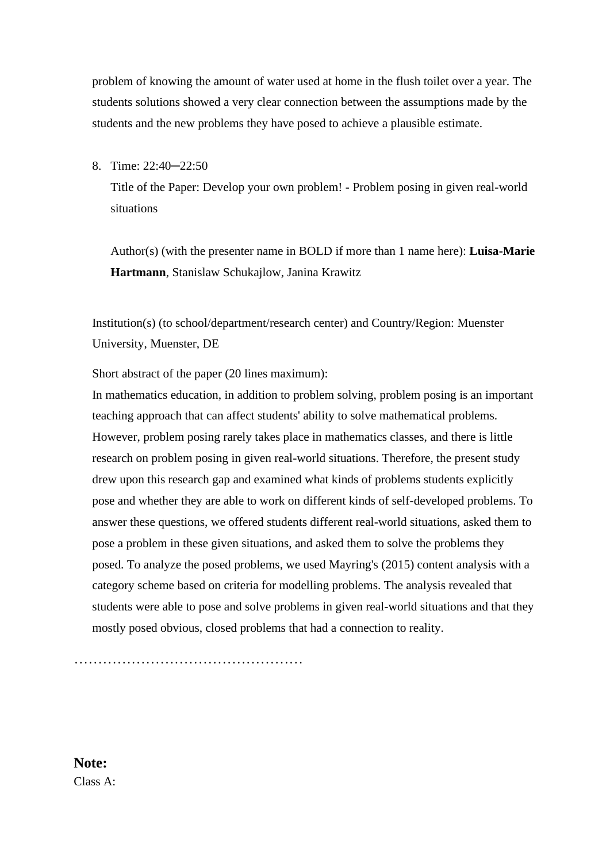problem of knowing the amount of water used at home in the flush toilet over a year. The students solutions showed a very clear connection between the assumptions made by the students and the new problems they have posed to achieve a plausible estimate.

#### 8. Time: 22:40─22:50

Title of the Paper: Develop your own problem! - Problem posing in given real-world situations

Author(s) (with the presenter name in BOLD if more than 1 name here): **Luisa-Marie Hartmann**, Stanislaw Schukajlow, Janina Krawitz

Institution(s) (to school/department/research center) and Country/Region: Muenster University, Muenster, DE

Short abstract of the paper (20 lines maximum):

In mathematics education, in addition to problem solving, problem posing is an important teaching approach that can affect students' ability to solve mathematical problems. However, problem posing rarely takes place in mathematics classes, and there is little research on problem posing in given real-world situations. Therefore, the present study drew upon this research gap and examined what kinds of problems students explicitly pose and whether they are able to work on different kinds of self-developed problems. To answer these questions, we offered students different real-world situations, asked them to pose a problem in these given situations, and asked them to solve the problems they posed. To analyze the posed problems, we used Mayring's (2015) content analysis with a category scheme based on criteria for modelling problems. The analysis revealed that students were able to pose and solve problems in given real-world situations and that they mostly posed obvious, closed problems that had a connection to reality.

……………………………………………………

**Note:** Class A: